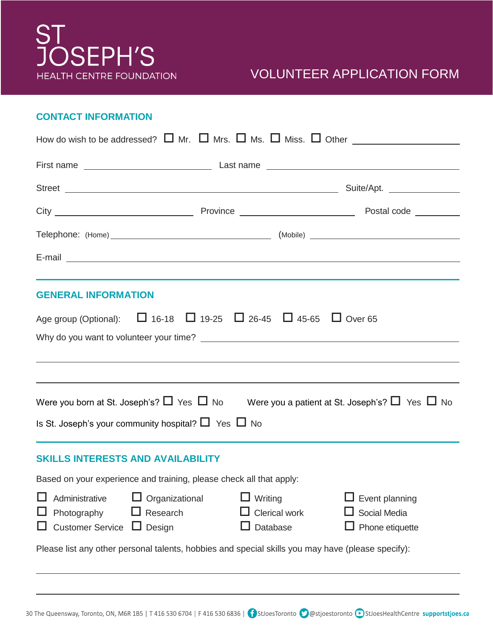

### VOLUNTEER APPLICATION FORM

#### **CONTACT INFORMATION**

 $\overline{a}$ 

 $\overline{a}$ 

| How do wish to be addressed? $\Box$ Mr. $\Box$ Mrs. $\Box$ Ms. $\Box$ Miss. $\Box$ Other $\_\_\_\_\_\_\_\_\_\_\_\_\_\_\_\_\_\_\_\_\_\_\_\_\_\_\_\_\_\_\_\_$ |                                                          |                                      |                                             |                                                                                                                                                                                                                                      |  |  |  |
|-------------------------------------------------------------------------------------------------------------------------------------------------------------|----------------------------------------------------------|--------------------------------------|---------------------------------------------|--------------------------------------------------------------------------------------------------------------------------------------------------------------------------------------------------------------------------------------|--|--|--|
|                                                                                                                                                             |                                                          |                                      |                                             |                                                                                                                                                                                                                                      |  |  |  |
|                                                                                                                                                             |                                                          |                                      |                                             |                                                                                                                                                                                                                                      |  |  |  |
|                                                                                                                                                             |                                                          |                                      |                                             |                                                                                                                                                                                                                                      |  |  |  |
|                                                                                                                                                             |                                                          |                                      |                                             |                                                                                                                                                                                                                                      |  |  |  |
|                                                                                                                                                             |                                                          |                                      |                                             | E-mail <u>contract and the contract of the contract of the contract of the contract of the contract of the contract of the contract of the contract of the contract of the contract of the contract of the contract of the contr</u> |  |  |  |
| <b>GENERAL INFORMATION</b>                                                                                                                                  |                                                          |                                      |                                             |                                                                                                                                                                                                                                      |  |  |  |
| Age group (Optional): □ 16-18 □ 19-25 □ 26-45 □ 45-65 □ Over 65                                                                                             |                                                          |                                      |                                             |                                                                                                                                                                                                                                      |  |  |  |
|                                                                                                                                                             |                                                          |                                      |                                             |                                                                                                                                                                                                                                      |  |  |  |
|                                                                                                                                                             |                                                          |                                      |                                             | ,我们也不会有什么。""我们的人,我们也不会有什么?""我们的人,我们也不会有什么?""我们的人,我们也不会有什么?""我们的人,我们也不会有什么?""我们的人                                                                                                                                                     |  |  |  |
|                                                                                                                                                             |                                                          |                                      |                                             | Were you born at St. Joseph's? $\Box$ Yes $\Box$ No Were you a patient at St. Joseph's? $\Box$ Yes $\Box$ No                                                                                                                         |  |  |  |
| Is St. Joseph's your community hospital? $\Box$ Yes $\Box$ No                                                                                               |                                                          |                                      |                                             |                                                                                                                                                                                                                                      |  |  |  |
| <b>SKILLS INTERESTS AND AVAILABILITY</b>                                                                                                                    |                                                          |                                      |                                             |                                                                                                                                                                                                                                      |  |  |  |
| Based on your experience and training, please check all that apply:                                                                                         |                                                          |                                      |                                             |                                                                                                                                                                                                                                      |  |  |  |
|                                                                                                                                                             | Administrative<br>Photography<br><b>Customer Service</b> | Organizational<br>Research<br>Design | Writing<br><b>Clerical work</b><br>Database | Event planning<br>Social Media<br>Phone etiquette                                                                                                                                                                                    |  |  |  |
| Please list any other personal talents, hobbies and special skills you may have (please specify):                                                           |                                                          |                                      |                                             |                                                                                                                                                                                                                                      |  |  |  |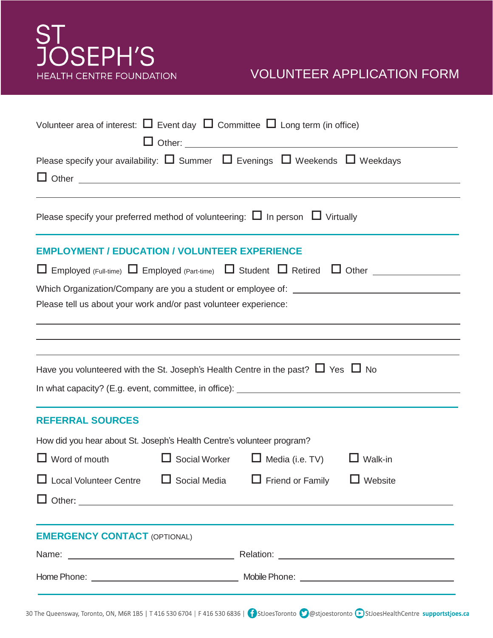# ST<br>JOSEPH'S **HEALTH CENTRE FOUNDATION**

## VOLUNTEER APPLICATION FORM

| Volunteer area of interest: $\Box$ Event day $\Box$ Committee $\Box$ Long term (in office)                                                                    |                      |                        |         |  |  |  |  |
|---------------------------------------------------------------------------------------------------------------------------------------------------------------|----------------------|------------------------|---------|--|--|--|--|
| Please specify your availability: $\Box$ Summer $\Box$ Evenings $\Box$ Weekends $\Box$ Weekdays<br>$\Box$ Other $\Box$ Other $\Box$                           |                      |                        |         |  |  |  |  |
|                                                                                                                                                               |                      |                        |         |  |  |  |  |
| Please specify your preferred method of volunteering: $\Box$ In person $\Box$ Virtually                                                                       |                      |                        |         |  |  |  |  |
| <b>EMPLOYMENT / EDUCATION / VOLUNTEER EXPERIENCE</b>                                                                                                          |                      |                        |         |  |  |  |  |
|                                                                                                                                                               |                      |                        |         |  |  |  |  |
| Which Organization/Company are you a student or employee of: ___________________                                                                              |                      |                        |         |  |  |  |  |
| Please tell us about your work and/or past volunteer experience:                                                                                              |                      |                        |         |  |  |  |  |
|                                                                                                                                                               |                      |                        |         |  |  |  |  |
|                                                                                                                                                               |                      |                        |         |  |  |  |  |
| Have you volunteered with the St. Joseph's Health Centre in the past? $\Box$ Yes $\Box$ No                                                                    |                      |                        |         |  |  |  |  |
| In what capacity? (E.g. event, committee, in office): ___________________________                                                                             |                      |                        |         |  |  |  |  |
| <b>REFERRAL SOURCES</b>                                                                                                                                       |                      |                        |         |  |  |  |  |
| How did you hear about St. Joseph's Health Centre's volunteer program?                                                                                        |                      |                        |         |  |  |  |  |
| $\Box$ Word of mouth                                                                                                                                          | $\Box$ Social Worker | $\Box$ Media (i.e. TV) | Walk-in |  |  |  |  |
| $\Box$ Local Volunteer Centre $\Box$ Social Media $\Box$ Friend or Family $\Box$ Website                                                                      |                      |                        |         |  |  |  |  |
|                                                                                                                                                               |                      |                        |         |  |  |  |  |
| <u> 1989 - An Dùbhlachd ann an Dùbhlachd ann an Dùbhlachd ann an Dùbhlachd ann an Dùbhlachd ann an Dùbhlachd ann a</u><br><b>EMERGENCY CONTACT (OPTIONAL)</b> |                      |                        |         |  |  |  |  |
|                                                                                                                                                               |                      |                        |         |  |  |  |  |
|                                                                                                                                                               |                      |                        |         |  |  |  |  |
|                                                                                                                                                               |                      |                        |         |  |  |  |  |